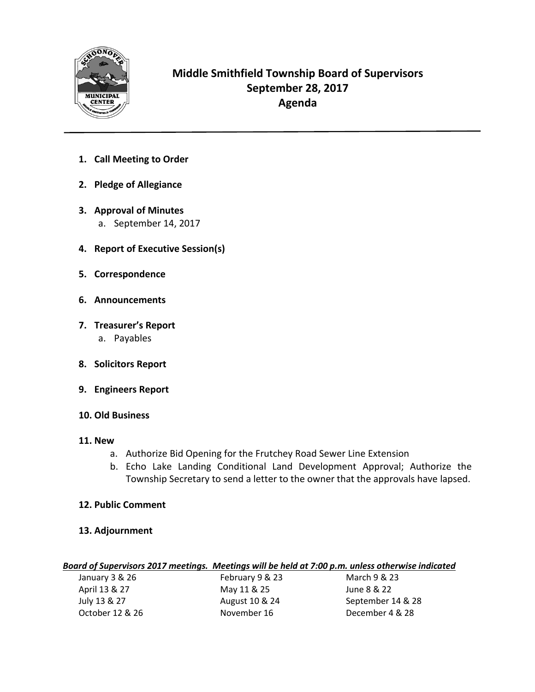

## **Middle Smithfield Township Board of Supervisors September 28, 2017 Agenda**

- **1. Call Meeting to Order**
- **2. Pledge of Allegiance**
- **3. Approval of Minutes**
	- a. September 14, 2017
- **4. Report of Executive Session(s)**
- **5. Correspondence**
- **6. Announcements**
- **7. Treasurer's Report** a. Payables
- **8. Solicitors Report**
- **9. Engineers Report**
- **10. Old Business**
- **11. New** 
	- a. Authorize Bid Opening for the Frutchey Road Sewer Line Extension
	- b. Echo Lake Landing Conditional Land Development Approval; Authorize the Township Secretary to send a letter to the owner that the approvals have lapsed.
- **12. Public Comment**
- **13. Adjournment**

## *Board of Supervisors 2017 meetings. Meetings will be held at 7:00 p.m. unless otherwise indicated*

| January 3 & 26  | February 9 & 23 | March 9 & 23      |
|-----------------|-----------------|-------------------|
| April 13 & 27   | May 11 & 25     | June 8 & 22       |
| July 13 & 27    | August 10 & 24  | September 14 & 28 |
| October 12 & 26 | November 16     | December 4 & 28   |